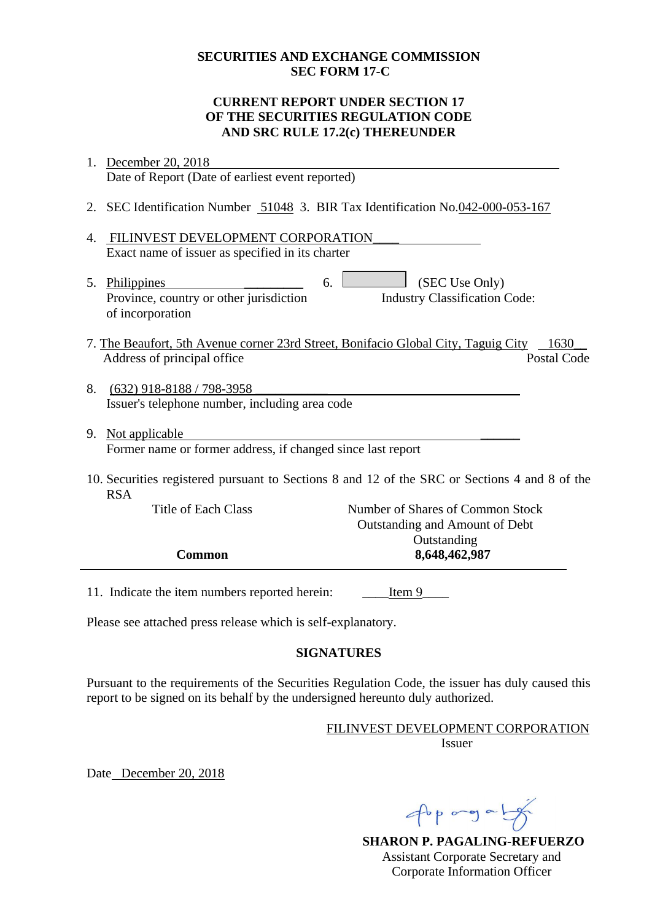#### **SECURITIES AND EXCHANGE COMMISSION SEC FORM 17-C**

### **CURRENT REPORT UNDER SECTION 17 OF THE SECURITIES REGULATION CODE AND SRC RULE 17.2(c) THEREUNDER**

- 1. December 20, 2018 Date of Report (Date of earliest event reported)
- 2. SEC Identification Number 51048 3. BIR Tax Identification No.042-000-053-167
- 4. FILINVEST DEVELOPMENT CORPORATION\_\_\_\_ Exact name of issuer as specified in its charter
- 5. Philippines  $\qquad \qquad 6.$  (SEC Use Only) Province, country or other jurisdiction of incorporation Industry Classification Code:
- 7. The Beaufort, 5th Avenue corner 23rd Street, Bonifacio Global City, Taguig City 1630 Address of principal office Postal Code
- 8. (632) 918-8188 / 798-3958 Issuer's telephone number, including area code
- 9. Not applicable Former name or former address, if changed since last report
- 10. Securities registered pursuant to Sections 8 and 12 of the SRC or Sections 4 and 8 of the RSA

| Title of Each Class | Number of Shares of Common Stock |
|---------------------|----------------------------------|
|                     | Outstanding and Amount of Debt   |
|                     | Outstanding                      |
| <b>Common</b>       | 8,648,462,987                    |
|                     |                                  |

11. Indicate the item numbers reported herein: Ltem 9

Please see attached press release which is self-explanatory.

## **SIGNATURES**

Pursuant to the requirements of the Securities Regulation Code, the issuer has duly caused this report to be signed on its behalf by the undersigned hereunto duly authorized.

#### FILINVEST DEVELOPMENT CORPORATION Issuer

Date December 20, 2018

popogaly

**SHARON P. PAGALING-REFUERZO** Assistant Corporate Secretary and Corporate Information Officer